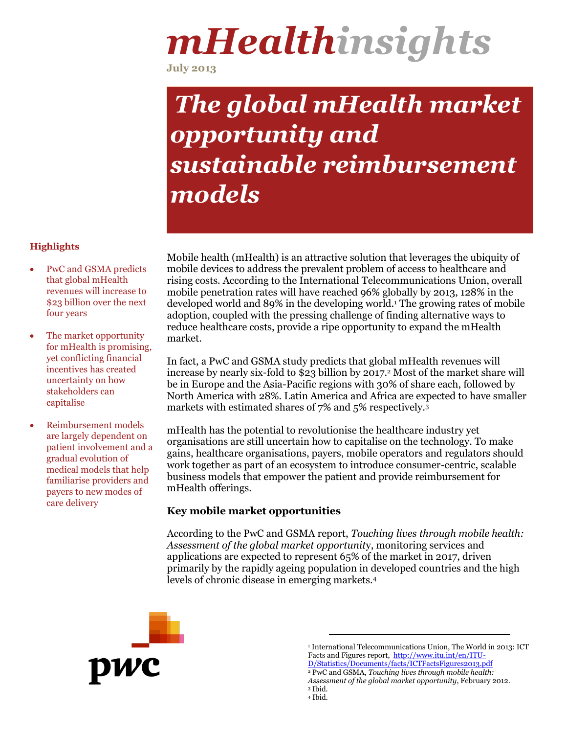# *mHealthinsights*

**July 2013**

## *The global mHealth market opportunity and sustainable reimbursement models*

#### **Highlights**

- PwC and GSMA predicts that global mHealth revenues will increase to \$23 billion over the next four years
- The market opportunity for mHealth is promising, yet conflicting financial incentives has created uncertainty on how stakeholders can capitalise
- Reimbursement models are largely dependent on patient involvement and a gradual evolution of medical models that help familiarise providers and payers to new modes of care delivery

Mobile health (mHealth) is an attractive solution that leverages the ubiquity of mobile devices to address the prevalent problem of access to healthcare and rising costs. According to the International Telecommunications Union, overall mobile penetration rates will have reached 96% globally by 2013, 128% in the developed world and 89% in the developing world.<sup>1</sup> The growing rates of mobile adoption, coupled with the pressing challenge of finding alternative ways to reduce healthcare costs, provide a ripe opportunity to expand the mHealth market.

In fact, a PwC and GSMA study predicts that global mHealth revenues will increase by nearly six-fold to \$23 billion by 2017.<sup>2</sup> Most of the market share will be in Europe and the Asia-Pacific regions with 30% of share each, followed by North America with 28%. Latin America and Africa are expected to have smaller markets with estimated shares of 7% and 5% respectively.<sup>3</sup>

mHealth has the potential to revolutionise the healthcare industry yet organisations are still uncertain how to capitalise on the technology. To make gains, healthcare organisations, payers, mobile operators and regulators should work together as part of an ecosystem to introduce consumer-centric, scalable business models that empower the patient and provide reimbursement for mHealth offerings.

#### **Key mobile market opportunities**

According to the PwC and GSMA report, *Touching lives through mobile health: Assessment of the global market opportunit*y, monitoring services and applications are expected to represent 65% of the market in 2017, driven primarily by the rapidly ageing population in developed countries and the high levels of chronic disease in emerging markets.<sup>4</sup>



<sup>1</sup> International Telecommunications Union, The World in 2013: ICT Facts and Figures report, <u>http://www.itu.int/en/ITU-</u> [D/Statistics/Documents/facts/ICTFactsFigures2013.pdf](http://www.itu.int/en/ITU-D/Statistics/Documents/facts/ICTFactsFigures2013.pdf) <sup>2</sup> PwC and GSMA, *Touching lives through mobile health:* 

*Assessment of the global market opportunity*, February 2012.

<sup>3</sup> Ibid. <sup>4</sup> Ibid.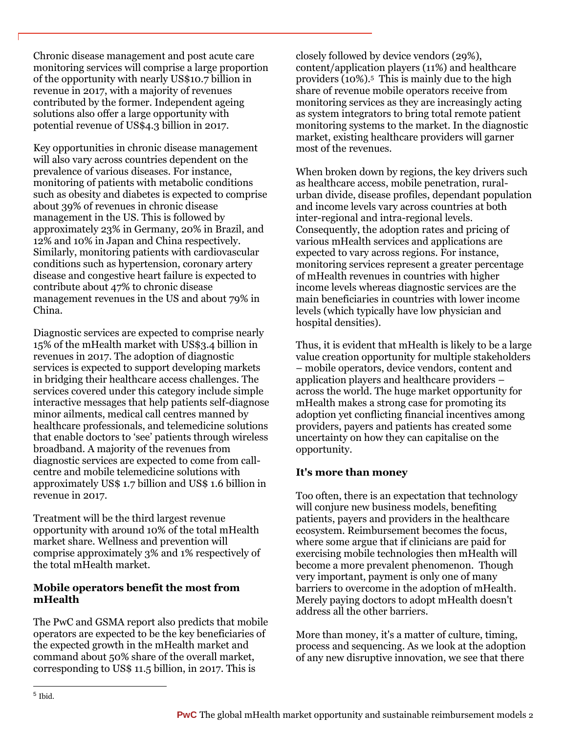Chronic disease management and post acute care monitoring services will comprise a large proportion of the opportunity with nearly US\$10.7 billion in revenue in 2017, with a majority of revenues contributed by the former. Independent ageing solutions also offer a large opportunity with potential revenue of US\$4.3 billion in 2017.

Key opportunities in chronic disease management will also vary across countries dependent on the prevalence of various diseases. For instance, monitoring of patients with metabolic conditions such as obesity and diabetes is expected to comprise about 39% of revenues in chronic disease management in the US. This is followed by approximately 23% in Germany, 20% in Brazil, and 12% and 10% in Japan and China respectively. Similarly, monitoring patients with cardiovascular conditions such as hypertension, coronary artery disease and congestive heart failure is expected to contribute about 47% to chronic disease management revenues in the US and about 79% in China.

Diagnostic services are expected to comprise nearly 15% of the mHealth market with US\$3.4 billion in revenues in 2017. The adoption of diagnostic services is expected to support developing markets in bridging their healthcare access challenges. The services covered under this category include simple interactive messages that help patients self-diagnose minor ailments, medical call centres manned by healthcare professionals, and telemedicine solutions that enable doctors to 'see' patients through wireless broadband. A majority of the revenues from diagnostic services are expected to come from callcentre and mobile telemedicine solutions with approximately US\$ 1.7 billion and US\$ 1.6 billion in revenue in 2017.

Treatment will be the third largest revenue opportunity with around 10% of the total mHealth market share. Wellness and prevention will comprise approximately 3% and 1% respectively of the total mHealth market.

#### **Mobile operators benefit the most from mHealth**

The PwC and GSMA report also predicts that mobile operators are expected to be the key beneficiaries of the expected growth in the mHealth market and command about 50% share of the overall market, corresponding to US\$ 11.5 billion, in 2017. This is

closely followed by device vendors (29%), content/application players (11%) and healthcare providers (10%).<sup>5</sup> This is mainly due to the high share of revenue mobile operators receive from monitoring services as they are increasingly acting as system integrators to bring total remote patient monitoring systems to the market. In the diagnostic market, existing healthcare providers will garner most of the revenues.

When broken down by regions, the key drivers such as healthcare access, mobile penetration, ruralurban divide, disease profiles, dependant population and income levels vary across countries at both inter-regional and intra-regional levels. Consequently, the adoption rates and pricing of various mHealth services and applications are expected to vary across regions. For instance, monitoring services represent a greater percentage of mHealth revenues in countries with higher income levels whereas diagnostic services are the main beneficiaries in countries with lower income levels (which typically have low physician and hospital densities).

Thus, it is evident that mHealth is likely to be a large value creation opportunity for multiple stakeholders – mobile operators, device vendors, content and application players and healthcare providers – across the world. The huge market opportunity for mHealth makes a strong case for promoting its adoption yet conflicting financial incentives among providers, payers and patients has created some uncertainty on how they can capitalise on the opportunity.

#### **It's more than money**

Too often, there is an expectation that technology will conjure new business models, benefiting patients, payers and providers in the healthcare ecosystem. Reimbursement becomes the focus, where some argue that if clinicians are paid for exercising mobile technologies then mHealth will become a more prevalent phenomenon. Though very important, payment is only one of many barriers to overcome in the adoption of mHealth. Merely paying doctors to adopt mHealth doesn't address all the other barriers.

More than money, it's a matter of culture, timing, process and sequencing. As we look at the adoption of any new disruptive innovation, we see that there

 $\overline{a}$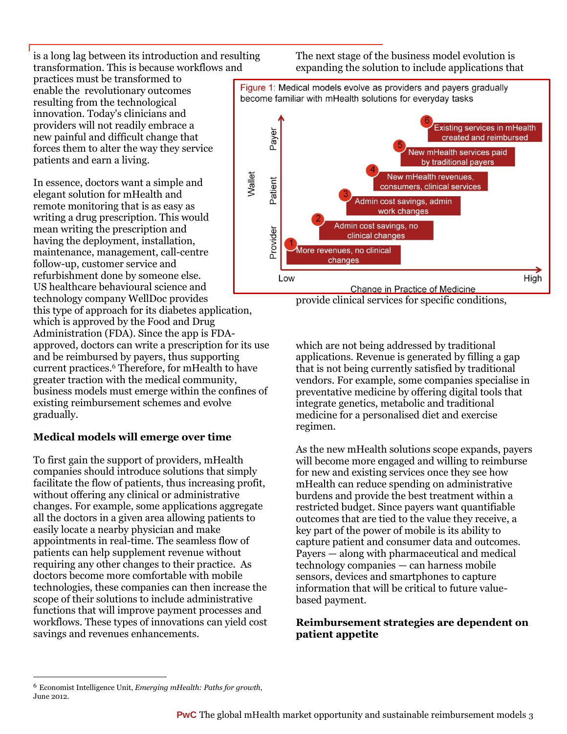is a long lag between its introduction and resulting transformation. This is because workflows and

practices must be transformed to enable the revolutionary outcomes resulting from the technological innovation. Today's clinicians and providers will not readily embrace a new painful and difficult change that forces them to alter the way they service patients and earn a living.

In essence, doctors want a simple and elegant solution for mHealth and remote monitoring that is as easy as writing a drug prescription. This would mean writing the prescription and having the deployment, installation, maintenance, management, call-centre follow-up, customer service and refurbishment done by someone else. US healthcare behavioural science and technology company WellDoc provides

this type of approach for its diabetes application, which is approved by the Food and Drug Administration (FDA). Since the app is FDAapproved, doctors can write a prescription for its use and be reimbursed by payers, thus supporting current practices. <sup>6</sup> Therefore, for mHealth to have greater traction with the medical community, business models must emerge within the confines of existing reimbursement schemes and evolve gradually.

#### **Medical models will emerge over time**

To first gain the support of providers, mHealth companies should introduce solutions that simply facilitate the flow of patients, thus increasing profit, without offering any clinical or administrative changes. For example, some applications aggregate all the doctors in a given area allowing patients to easily locate a nearby physician and make appointments in real-time. The seamless flow of patients can help supplement revenue without requiring any other changes to their practice. As doctors become more comfortable with mobile technologies, these companies can then increase the scope of their solutions to include administrative functions that will improve payment processes and workflows. These types of innovations can yield cost savings and revenues enhancements.

The next stage of the business model evolution is expanding the solution to include applications that



provide clinical services for specific conditions,

which are not being addressed by traditional applications. Revenue is generated by filling a gap that is not being currently satisfied by traditional vendors. For example, some companies specialise in preventative medicine by offering digital tools that integrate genetics, metabolic and traditional medicine for a personalised diet and exercise regimen.

As the new mHealth solutions scope expands, payers will become more engaged and willing to reimburse for new and existing services once they see how mHealth can reduce spending on administrative burdens and provide the best treatment within a restricted budget. Since payers want quantifiable outcomes that are tied to the value they receive, a key part of the power of mobile is its ability to capture patient and consumer data and outcomes. Payers — along with pharmaceutical and medical technology companies — can harness mobile sensors, devices and smartphones to capture information that will be critical to future valuebased payment.

#### **Reimbursement strategies are dependent on patient appetite**

 $\overline{a}$ 

<sup>6</sup> Economist Intelligence Unit, *Emerging mHealth: Paths for growth*, June 2012.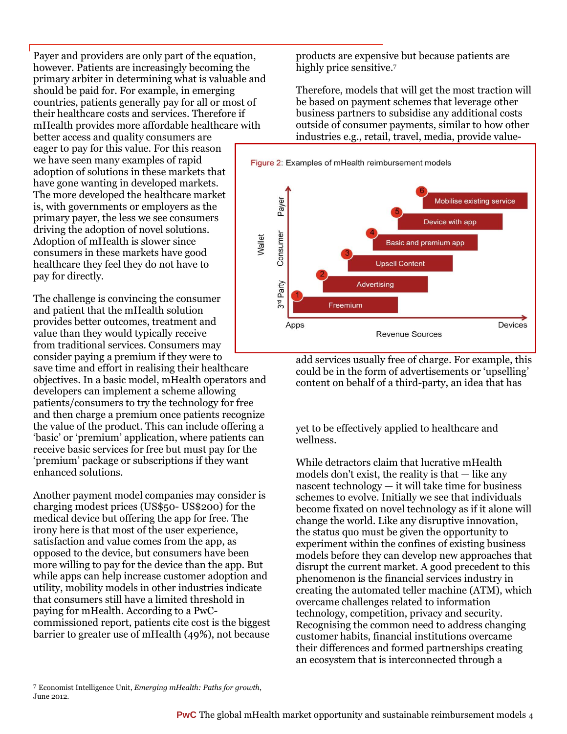Payer and providers are only part of the equation, however. Patients are increasingly becoming the primary arbiter in determining what is valuable and should be paid for. For example, in emerging countries, patients generally pay for all or most of their healthcare costs and services. Therefore if mHealth provides more affordable healthcare with better access and quality consumers are

eager to pay for this value. For this reason we have seen many examples of rapid adoption of solutions in these markets that have gone wanting in developed markets. The more developed the healthcare market is, with governments or employers as the primary payer, the less we see consumers driving the adoption of novel solutions. Adoption of mHealth is slower since consumers in these markets have good healthcare they feel they do not have to pay for directly.

The challenge is convincing the consumer and patient that the mHealth solution provides better outcomes, treatment and value than they would typically receive from traditional services. Consumers may consider paying a premium if they were to

save time and effort in realising their healthcare objectives. In a basic model, mHealth operators and developers can implement a scheme allowing patients/consumers to try the technology for free and then charge a premium once patients recognize the value of the product. This can include offering a 'basic' or 'premium' application, where patients can receive basic services for free but must pay for the 'premium' package or subscriptions if they want enhanced solutions.

Another payment model companies may consider is charging modest prices (US\$50- US\$200) for the medical device but offering the app for free. The irony here is that most of the user experience, satisfaction and value comes from the app, as opposed to the device, but consumers have been more willing to pay for the device than the app. But while apps can help increase customer adoption and utility, mobility models in other industries indicate that consumers still have a limited threshold in paying for mHealth. According to a PwCcommissioned report, patients cite cost is the biggest barrier to greater use of mHealth (49%), not because

products are expensive but because patients are highly price sensitive.<sup>7</sup>

Therefore, models that will get the most traction will be based on payment schemes that leverage other business partners to subsidise any additional costs outside of consumer payments, similar to how other industries e.g., retail, travel, media, provide value-



add services usually free of charge. For example, this could be in the form of advertisements or 'upselling' content on behalf of a third-party, an idea that has

yet to be effectively applied to healthcare and wellness.

While detractors claim that lucrative mHealth models don't exist, the reality is that — like any nascent technology — it will take time for business schemes to evolve. Initially we see that individuals become fixated on novel technology as if it alone will change the world. Like any disruptive innovation, the status quo must be given the opportunity to experiment within the confines of existing business models before they can develop new approaches that disrupt the current market. A good precedent to this phenomenon is the financial services industry in creating the automated teller machine (ATM), which overcame challenges related to information technology, competition, privacy and security. Recognising the common need to address changing customer habits, financial institutions overcame their differences and formed partnerships creating an ecosystem that is interconnected through a

 $\overline{a}$ <sup>7</sup> Economist Intelligence Unit, *Emerging mHealth: Paths for growth*, June 2012.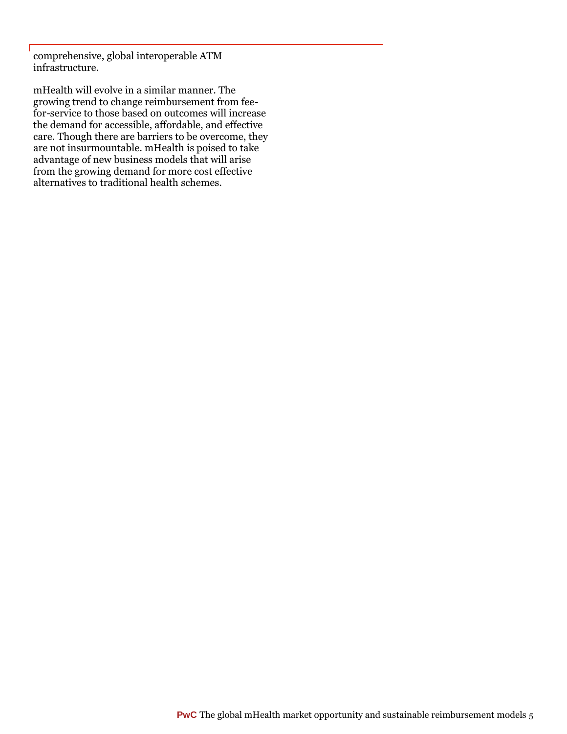comprehensive, global interoperable ATM infrastructure.

mHealth will evolve in a similar manner. The growing trend to change reimbursement from feefor-service to those based on outcomes will increase the demand for accessible, affordable, and effective care. Though there are barriers to be overcome, they are not insurmountable. mHealth is poised to take advantage of new business models that will arise from the growing demand for more cost effective alternatives to traditional health schemes.